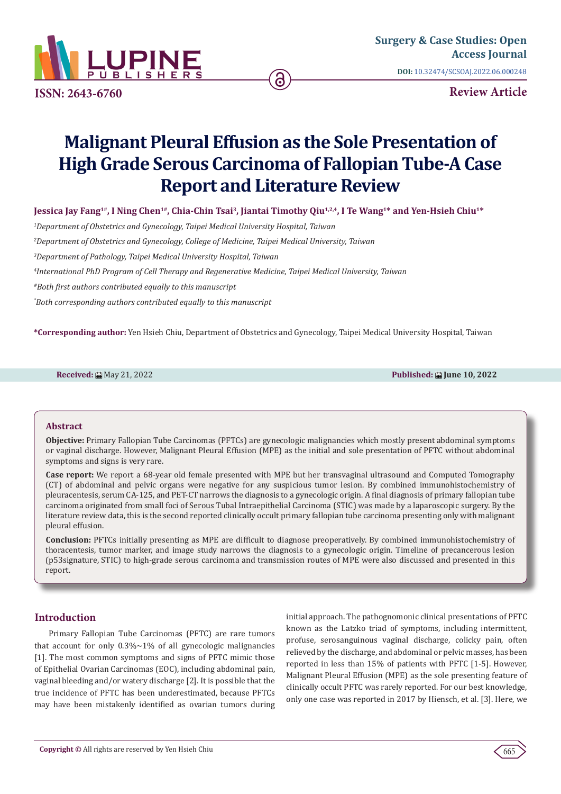

**ISSN: 2643-6760**

**Review Article**

# **Malignant Pleural Effusion as the Sole Presentation of High Grade Serous Carcinoma of Fallopian Tube-A Case Report and Literature Review**

Jessica Jay Fang<sup>1#</sup>, I Ning Chen<sup>1#</sup>, Chia-Chin Tsai<sup>3</sup>, Jiantai Timothy Qiu<sup>1,2,4</sup>, I Te Wang<sup>1\*</sup> and Yen-Hsieh Chiu<sup>1\*</sup>

*1 Department of Obstetrics and Gynecology, Taipei Medical University Hospital, Taiwan*

*2 Department of Obstetrics and Gynecology, College of Medicine, Taipei Medical University, Taiwan* 

*3 Department of Pathology, Taipei Medical University Hospital, Taiwan*

*4 International PhD Program of Cell Therapy and Regenerative Medicine, Taipei Medical University, Taiwan*

*#Both first authors contributed equally to this manuscript*

*\* Both corresponding authors contributed equally to this manuscript*

**\*Corresponding author:** Yen Hsieh Chiu, Department of Obstetrics and Gynecology, Taipei Medical University Hospital, Taiwan

**Received:** ■ May 21, 2022 **Published: ■ May 21, 2022** 

#### **Abstract**

**Objective:** Primary Fallopian Tube Carcinomas (PFTCs) are gynecologic malignancies which mostly present abdominal symptoms or vaginal discharge. However, Malignant Pleural Effusion (MPE) as the initial and sole presentation of PFTC without abdominal symptoms and signs is very rare.

**Case report:** We report a 68-year old female presented with MPE but her transvaginal ultrasound and Computed Tomography (CT) of abdominal and pelvic organs were negative for any suspicious tumor lesion. By combined immunohistochemistry of pleuracentesis, serum CA-125, and PET-CT narrows the diagnosis to a gynecologic origin. A final diagnosis of primary fallopian tube carcinoma originated from small foci of Serous Tubal Intraepithelial Carcinoma (STIC) was made by a laparoscopic surgery. By the literature review data, this is the second reported clinically occult primary fallopian tube carcinoma presenting only with malignant pleural effusion.

**Conclusion:** PFTCs initially presenting as MPE are difficult to diagnose preoperatively. By combined immunohistochemistry of thoracentesis, tumor marker, and image study narrows the diagnosis to a gynecologic origin. Timeline of precancerous lesion (p53signature, STIC) to high-grade serous carcinoma and transmission routes of MPE were also discussed and presented in this report.

# **Introduction**

Primary Fallopian Tube Carcinomas (PFTC) are rare tumors that account for only  $0.3\% \sim 1\%$  of all gynecologic malignancies [1]. The most common symptoms and signs of PFTC mimic those of Epithelial Ovarian Carcinomas (EOC), including abdominal pain, vaginal bleeding and/or watery discharge [2]. It is possible that the true incidence of PFTC has been underestimated, because PFTCs may have been mistakenly identified as ovarian tumors during

initial approach. The pathognomonic clinical presentations of PFTC known as the Latzko triad of symptoms, including intermittent, profuse, serosanguinous vaginal discharge, colicky pain, often relieved by the discharge, and abdominal or pelvic masses, has been reported in less than 15% of patients with PFTC [1-5]. However, Malignant Pleural Effusion (MPE) as the sole presenting feature of clinically occult PFTC was rarely reported. For our best knowledge, only one case was reported in 2017 by Hiensch, et al. [3]. Here, we

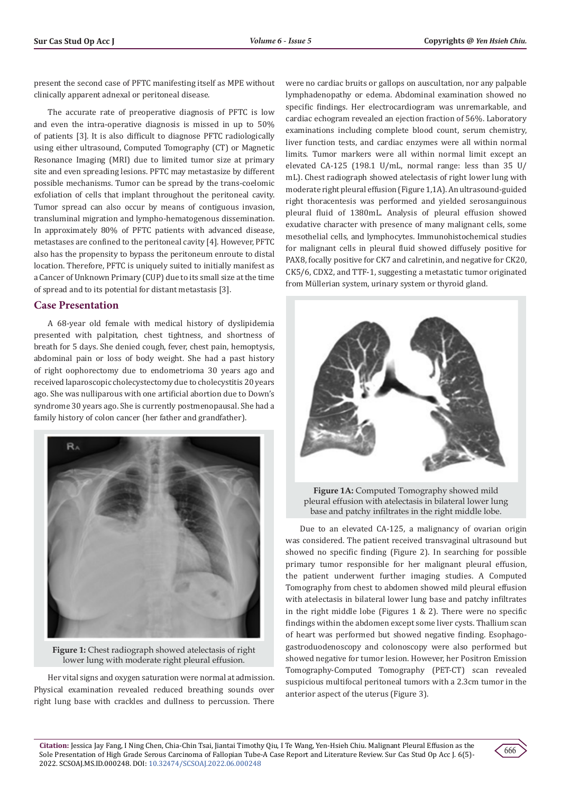present the second case of PFTC manifesting itself as MPE without clinically apparent adnexal or peritoneal disease.

The accurate rate of preoperative diagnosis of PFTC is low and even the intra-operative diagnosis is missed in up to 50% of patients [3]. It is also difficult to diagnose PFTC radiologically using either ultrasound, Computed Tomography (CT) or Magnetic Resonance Imaging (MRI) due to limited tumor size at primary site and even spreading lesions. PFTC may metastasize by different possible mechanisms. Tumor can be spread by the trans-coelomic exfoliation of cells that implant throughout the peritoneal cavity. Tumor spread can also occur by means of contiguous invasion, transluminal migration and lympho-hematogenous dissemination. In approximately 80% of PFTC patients with advanced disease, metastases are confined to the peritoneal cavity [4]. However, PFTC also has the propensity to bypass the peritoneum enroute to distal location. Therefore, PFTC is uniquely suited to initially manifest as a Cancer of Unknown Primary (CUP) due to its small size at the time of spread and to its potential for distant metastasis [3].

# **Case Presentation**

A 68-year old female with medical history of dyslipidemia presented with palpitation, chest tightness, and shortness of breath for 5 days. She denied cough, fever, chest pain, hemoptysis, abdominal pain or loss of body weight. She had a past history of right oophorectomy due to endometrioma 30 years ago and received laparoscopic cholecystectomy due to cholecystitis 20 years ago. She was nulliparous with one artificial abortion due to Down's syndrome 30 years ago. She is currently postmenopausal. She had a family history of colon cancer (her father and grandfather).



**Figure 1:** Chest radiograph showed atelectasis of right lower lung with moderate right pleural effusion.

Her vital signs and oxygen saturation were normal at admission. Physical examination revealed reduced breathing sounds over right lung base with crackles and dullness to percussion. There

were no cardiac bruits or gallops on auscultation, nor any palpable lymphadenopathy or edema. Abdominal examination showed no specific findings. Her electrocardiogram was unremarkable, and cardiac echogram revealed an ejection fraction of 56%. Laboratory examinations including complete blood count, serum chemistry, liver function tests, and cardiac enzymes were all within normal limits. Tumor markers were all within normal limit except an elevated CA-125 (198.1 U/mL, normal range: less than 35 U/ mL). Chest radiograph showed atelectasis of right lower lung with moderate right pleural effusion (Figure 1,1A). An ultrasound-guided right thoracentesis was performed and yielded serosanguinous pleural fluid of 1380mL. Analysis of pleural effusion showed exudative character with presence of many malignant cells, some mesothelial cells, and lymphocytes. Immunohistochemical studies for malignant cells in pleural fluid showed diffusely positive for PAX8, focally positive for CK7 and calretinin, and negative for CK20, CK5/6, CDX2, and TTF-1, suggesting a metastatic tumor originated from Müllerian system, urinary system or thyroid gland.



**Figure 1A:** Computed Tomography showed mild pleural effusion with atelectasis in bilateral lower lung base and patchy infiltrates in the right middle lobe.

Due to an elevated CA-125, a malignancy of ovarian origin was considered. The patient received transvaginal ultrasound but showed no specific finding (Figure 2). In searching for possible primary tumor responsible for her malignant pleural effusion, the patient underwent further imaging studies. A Computed Tomography from chest to abdomen showed mild pleural effusion with atelectasis in bilateral lower lung base and patchy infiltrates in the right middle lobe (Figures  $1 \& 2$ ). There were no specific findings within the abdomen except some liver cysts. Thallium scan of heart was performed but showed negative finding. Esophagogastroduodenoscopy and colonoscopy were also performed but showed negative for tumor lesion. However, her Positron Emission Tomography-Computed Tomography (PET-CT) scan revealed suspicious multifocal peritoneal tumors with a 2.3cm tumor in the anterior aspect of the uterus (Figure 3).

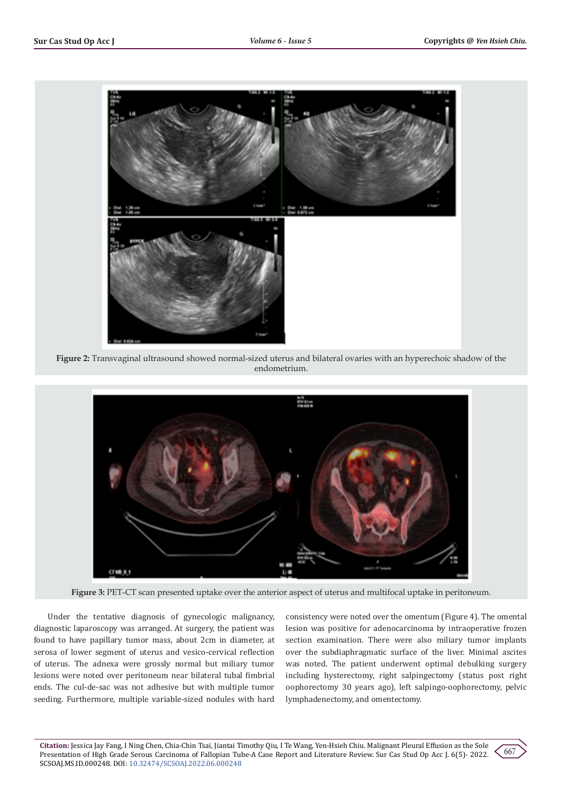

**Figure 2:** Transvaginal ultrasound showed normal-sized uterus and bilateral ovaries with an hyperechoic shadow of the endometrium.



**Figure 3:** PET-CT scan presented uptake over the anterior aspect of uterus and multifocal uptake in peritoneum.

Under the tentative diagnosis of gynecologic malignancy, diagnostic laparoscopy was arranged. At surgery, the patient was found to have papillary tumor mass, about 2cm in diameter, at serosa of lower segment of uterus and vesico-cervical reflection of uterus. The adnexa were grossly normal but miliary tumor lesions were noted over peritoneum near bilateral tubal fimbrial ends. The cul-de-sac was not adhesive but with multiple tumor seeding. Furthermore, multiple variable-sized nodules with hard

consistency were noted over the omentum (Figure 4). The omental lesion was positive for adenocarcinoma by intraoperative frozen section examination. There were also miliary tumor implants over the subdiaphragmatic surface of the liver. Minimal ascites was noted. The patient underwent optimal debulking surgery including hysterectomy, right salpingectomy (status post right oophorectomy 30 years ago), left salpingo-oophorectomy, pelvic lymphadenectomy, and omentectomy.

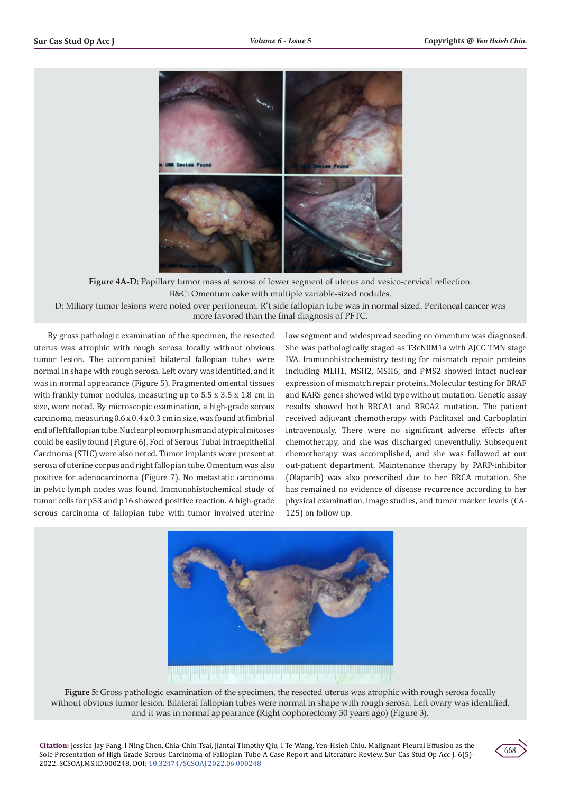

**Figure 4A-D:** Papillary tumor mass at serosa of lower segment of uterus and vesico-cervical reflection. B&C: Omentum cake with multiple variable-sized nodules.

D: Miliary tumor lesions were noted over peritoneum. R't side fallopian tube was in normal sized. Peritoneal cancer was more favored than the final diagnosis of PFTC.

By gross pathologic examination of the specimen, the resected uterus was atrophic with rough serosa focally without obvious tumor lesion. The accompanied bilateral fallopian tubes were normal in shape with rough serosa. Left ovary was identified, and it was in normal appearance (Figure 5). Fragmented omental tissues with frankly tumor nodules, measuring up to 5.5 x 3.5 x 1.8 cm in size, were noted. By microscopic examination, a high-grade serous carcinoma, measuring 0.6 x 0.4 x 0.3 cm in size, was found at fimbrial end of left fallopian tube. Nuclear pleomorphism and atypical mitoses could be easily found (Figure 6). Foci of Serous Tubal Intraepithelial Carcinoma (STIC) were also noted. Tumor implants were present at serosa of uterine corpus and right fallopian tube. Omentum was also positive for adenocarcinoma (Figure 7). No metastatic carcinoma in pelvic lymph nodes was found. Immunohistochemical study of tumor cells for p53 and p16 showed positive reaction. A high-grade serous carcinoma of fallopian tube with tumor involved uterine

low segment and widespread seeding on omentum was diagnosed. She was pathologically staged as T3cN0M1a with AJCC TMN stage IVA. Immunohistochemistry testing for mismatch repair proteins including MLH1, MSH2, MSH6, and PMS2 showed intact nuclear expression of mismatch repair proteins. Molecular testing for BRAF and KARS genes showed wild type without mutation. Genetic assay results showed both BRCA1 and BRCA2 mutation. The patient received adjuvant chemotherapy with Paclitaxel and Carboplatin intravenously. There were no significant adverse effects after chemotherapy, and she was discharged uneventfully. Subsequent chemotherapy was accomplished, and she was followed at our out-patient department. Maintenance therapy by PARP-inhibitor (Olaparib) was also prescribed due to her BRCA mutation. She has remained no evidence of disease recurrence according to her physical examination, image studies, and tumor marker levels (CA-125) on follow up.



**Figure 5:** Gross pathologic examination of the specimen, the resected uterus was atrophic with rough serosa focally without obvious tumor lesion. Bilateral fallopian tubes were normal in shape with rough serosa. Left ovary was identified, and it was in normal appearance (Right oophorectomy 30 years ago) (Figure 3).

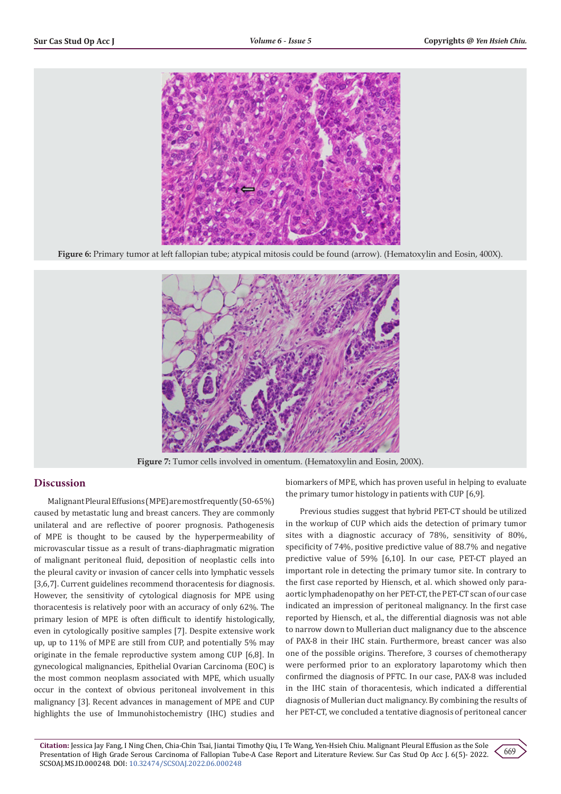

**Figure 6:** Primary tumor at left fallopian tube; atypical mitosis could be found (arrow). (Hematoxylin and Eosin, 400X).



Figure 7: Tumor cells involved in omentum. (Hematoxylin and Eosin, 200X).

# **Discussion**

Malignant Pleural Effusions (MPE) are most frequently (50-65%) caused by metastatic lung and breast cancers. They are commonly unilateral and are reflective of poorer prognosis. Pathogenesis of MPE is thought to be caused by the hyperpermeability of microvascular tissue as a result of trans-diaphragmatic migration of malignant peritoneal fluid, deposition of neoplastic cells into the pleural cavity or invasion of cancer cells into lymphatic vessels [3,6,7]. Current guidelines recommend thoracentesis for diagnosis. However, the sensitivity of cytological diagnosis for MPE using thoracentesis is relatively poor with an accuracy of only 62%. The primary lesion of MPE is often difficult to identify histologically, even in cytologically positive samples [7]. Despite extensive work up, up to 11% of MPE are still from CUP, and potentially 5% may originate in the female reproductive system among CUP [6,8]. In gynecological malignancies, Epithelial Ovarian Carcinoma (EOC) is the most common neoplasm associated with MPE, which usually occur in the context of obvious peritoneal involvement in this malignancy [3]. Recent advances in management of MPE and CUP highlights the use of Immunohistochemistry (IHC) studies and

biomarkers of MPE, which has proven useful in helping to evaluate the primary tumor histology in patients with CUP [6,9].

Previous studies suggest that hybrid PET-CT should be utilized in the workup of CUP which aids the detection of primary tumor sites with a diagnostic accuracy of 78%, sensitivity of 80%, specificity of 74%, positive predictive value of 88.7% and negative predictive value of 59% [6,10]. In our case, PET-CT played an important role in detecting the primary tumor site. In contrary to the first case reported by Hiensch, et al. which showed only paraaortic lymphadenopathy on her PET-CT, the PET-CT scan of our case indicated an impression of peritoneal malignancy. In the first case reported by Hiensch, et al., the differential diagnosis was not able to narrow down to Mullerian duct malignancy due to the abscence of PAX-8 in their IHC stain. Furthermore, breast cancer was also one of the possible origins. Therefore, 3 courses of chemotherapy were performed prior to an exploratory laparotomy which then confirmed the diagnosis of PFTC. In our case, PAX-8 was included in the IHC stain of thoracentesis, which indicated a differential diagnosis of Mullerian duct malignancy. By combining the results of her PET-CT, we concluded a tentative diagnosis of peritoneal cancer

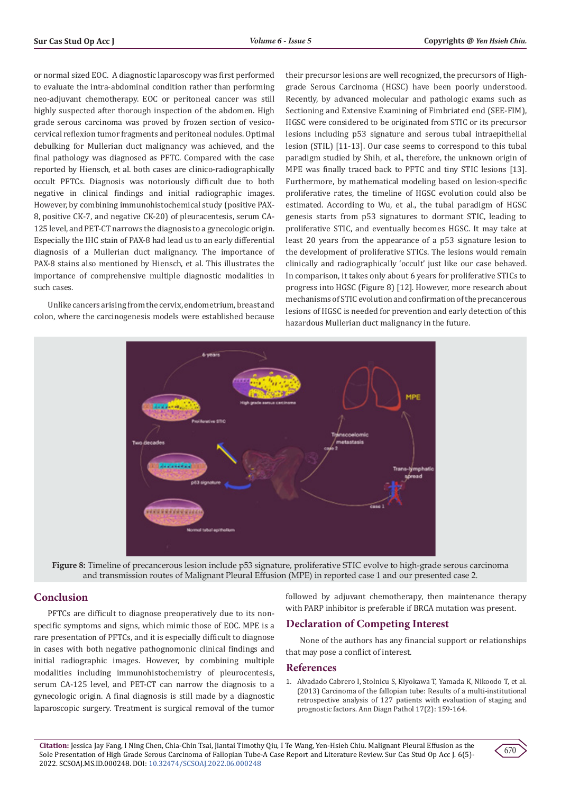or normal sized EOC. A diagnostic laparoscopy was first performed to evaluate the intra-abdominal condition rather than performing neo-adjuvant chemotherapy. EOC or peritoneal cancer was still highly suspected after thorough inspection of the abdomen. High grade serous carcinoma was proved by frozen section of vesicocervical reflexion tumor fragments and peritoneal nodules. Optimal debulking for Mullerian duct malignancy was achieved, and the final pathology was diagnosed as PFTC. Compared with the case reported by Hiensch, et al. both cases are clinico-radiographically occult PFTCs. Diagnosis was notoriously difficult due to both negative in clinical findings and initial radiographic images. However, by combining immunohistochemical study (positive PAX-8, positive CK-7, and negative CK-20) of pleuracentesis, serum CA-125 level, and PET-CT narrows the diagnosis to a gynecologic origin. Especially the IHC stain of PAX-8 had lead us to an early differential diagnosis of a Mullerian duct malignancy. The importance of PAX-8 stains also mentioned by Hiensch, et al. This illustrates the importance of comprehensive multiple diagnostic modalities in such cases.

Unlike cancers arising from the cervix, endometrium, breast and colon, where the carcinogenesis models were established because their precursor lesions are well recognized, the precursors of Highgrade Serous Carcinoma (HGSC) have been poorly understood. Recently, by advanced molecular and pathologic exams such as Sectioning and Extensive Examining of Fimbriated end (SEE-FIM), HGSC were considered to be originated from STIC or its precursor lesions including p53 signature and serous tubal intraepithelial lesion (STIL) [11-13]. Our case seems to correspond to this tubal paradigm studied by Shih, et al., therefore, the unknown origin of MPE was finally traced back to PFTC and tiny STIC lesions [13]. Furthermore, by mathematical modeling based on lesion-specific proliferative rates, the timeline of HGSC evolution could also be estimated. According to Wu, et al., the tubal paradigm of HGSC genesis starts from p53 signatures to dormant STIC, leading to proliferative STIC, and eventually becomes HGSC. It may take at least 20 years from the appearance of a p53 signature lesion to the development of proliferative STICs. The lesions would remain clinically and radiographically 'occult' just like our case behaved. In comparison, it takes only about 6 years for proliferative STICs to progress into HGSC (Figure 8) [12]. However, more research about mechanisms of STIC evolution and confirmation of the precancerous lesions of HGSC is needed for prevention and early detection of this hazardous Mullerian duct malignancy in the future.



**Figure 8:** Timeline of precancerous lesion include p53 signature, proliferative STIC evolve to high-grade serous carcinoma and transmission routes of Malignant Pleural Effusion (MPE) in reported case 1 and our presented case 2.

# **Conclusion**

PFTCs are difficult to diagnose preoperatively due to its nonspecific symptoms and signs, which mimic those of EOC. MPE is a rare presentation of PFTCs, and it is especially difficult to diagnose in cases with both negative pathognomonic clinical findings and initial radiographic images. However, by combining multiple modalities including immunohistochemistry of pleurocentesis, serum CA-125 level, and PET-CT can narrow the diagnosis to a gynecologic origin. A final diagnosis is still made by a diagnostic laparoscopic surgery. Treatment is surgical removal of the tumor followed by adjuvant chemotherapy, then maintenance therapy with PARP inhibitor is preferable if BRCA mutation was present.

## **Declaration of Competing Interest**

None of the authors has any financial support or relationships that may pose a conflict of interest.

#### **References**

1. [Alvadado Cabrero I, Stolnicu S, Kiyokawa T, Yamada K, Nikoodo T, et al.](https://pubmed.ncbi.nlm.nih.gov/23195378/) [\(2013\) Carcinoma of the fallopian tube: Results of a multi-institutional](https://pubmed.ncbi.nlm.nih.gov/23195378/) [retrospective analysis of 127 patients with evaluation of staging and](https://pubmed.ncbi.nlm.nih.gov/23195378/) [prognostic factors. Ann Diagn Pathol 17\(2\): 159-164.](https://pubmed.ncbi.nlm.nih.gov/23195378/)

**Citation:** Jessica Jay Fang, I Ning Chen, Chia-Chin Tsai, Jiantai Timothy Qiu, I Te Wang, Yen-Hsieh Chiu. Malignant Pleural Effusion as the Sole Presentation of High Grade Serous Carcinoma of Fallopian Tube-A Case Report and Literature Review. Sur Cas Stud Op Acc J. 6(5)- 2022. SCSOAJ.MS.ID.000248. DOI: [10.32474/SCSOAJ.2022.06.000248](http://dx.doi.org/10.32474/SCSOAJ.2022.06.000248)